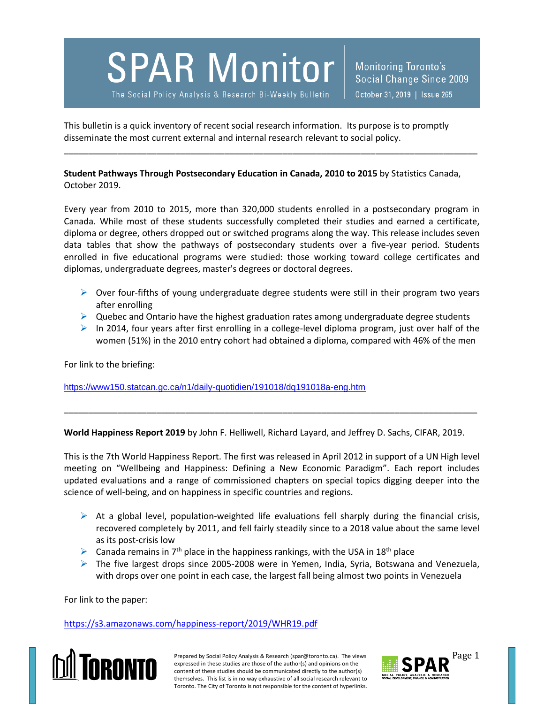**SPAR Monitor** 

The Social Policy Analysis & Research Bi-Weekly Bulletin

Monitoring Toronto's Social Change Since 2009 October 31, 2019 | Issue 265

This bulletin is a quick inventory of recent social research information. Its purpose is to promptly disseminate the most current external and internal research relevant to social policy.

**Student Pathways Through Postsecondary Education in Canada, 2010 to 2015** by Statistics Canada, October 2019.

\_\_\_\_\_\_\_\_\_\_\_\_\_\_\_\_\_\_\_\_\_\_\_\_\_\_\_\_\_\_\_\_\_\_\_\_\_\_\_\_\_\_\_\_\_\_\_\_\_\_\_\_\_\_\_\_\_\_\_\_\_\_\_\_\_\_\_\_\_\_\_\_\_\_\_\_\_\_\_\_\_\_\_\_\_

Every year from 2010 to 2015, more than 320,000 students enrolled in a postsecondary program in Canada. While most of these students successfully completed their studies and earned a certificate, diploma or degree, others dropped out or switched programs along the way. This release includes seven data tables that show the pathways of postsecondary students over a five-year period. Students enrolled in five educational programs were studied: those working toward college certificates and diplomas, undergraduate degrees, master's degrees or doctoral degrees.

- $\triangleright$  Over four-fifths of young undergraduate degree students were still in their program two years after enrolling
- $\triangleright$  Quebec and Ontario have the highest graduation rates among undergraduate degree students
- $\triangleright$  In 2014, four years after first enrolling in a college-level diploma program, just over half of the women (51%) in the 2010 entry cohort had obtained a diploma, compared with 46% of the men

For link to the briefing:

<https://www150.statcan.gc.ca/n1/daily-quotidien/191018/dq191018a-eng.htm>

**World Happiness Report 2019** by John F. Helliwell, Richard Layard, and Jeffrey D. Sachs, CIFAR, 2019.

\_\_\_\_\_\_\_\_\_\_\_\_\_\_\_\_\_\_\_\_\_\_\_\_\_\_\_\_\_\_\_\_\_\_\_\_\_\_\_\_\_\_\_\_\_\_\_\_\_\_\_\_\_\_\_\_\_\_\_\_\_\_\_\_\_\_\_\_\_\_\_\_\_\_\_\_\_\_\_\_\_\_\_\_\_

This is the 7th World Happiness Report. The first was released in April 2012 in support of a UN High level meeting on "Wellbeing and Happiness: Defining a New Economic Paradigm". Each report includes updated evaluations and a range of commissioned chapters on special topics digging deeper into the science of well-being, and on happiness in specific countries and regions.

- $\triangleright$  At a global level, population-weighted life evaluations fell sharply during the financial crisis, recovered completely by 2011, and fell fairly steadily since to a 2018 value about the same level as its post-crisis low
- **Example 2** Canada remains in 7<sup>th</sup> place in the happiness rankings, with the USA in 18<sup>th</sup> place
- $\triangleright$  The five largest drops since 2005-2008 were in Yemen, India, Syria, Botswana and Venezuela, with drops over one point in each case, the largest fall being almost two points in Venezuela

For link to the paper:

<https://s3.amazonaws.com/happiness-report/2019/WHR19.pdf>



Prepared by Social Policy Analysis & Research (spar@toronto.ca). The views Page 1 expressed in these studies are those of the author(s) and opinions on the content of these studies should be communicated directly to the author(s) themselves. This list is in no way exhaustive of all social research relevant to Toronto. The City of Toronto is not responsible for the content of hyperlinks.

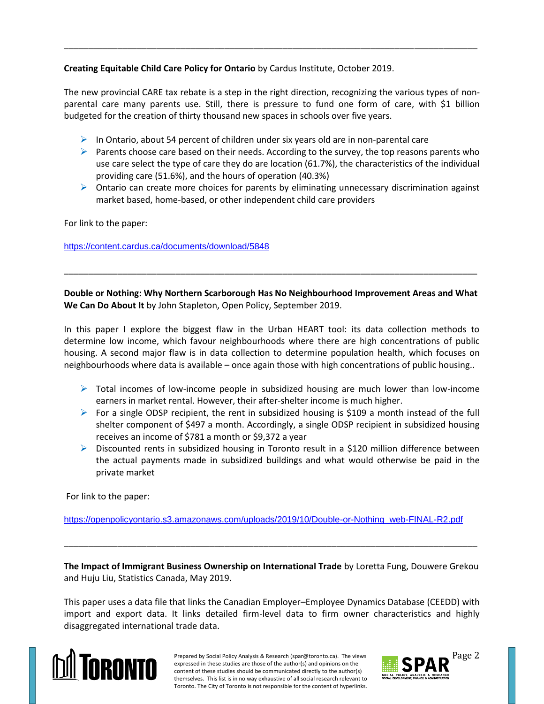**Creating Equitable Child Care Policy for Ontario** by Cardus Institute, October 2019.

The new provincial CARE tax rebate is a step in the right direction, recognizing the various types of nonparental care many parents use. Still, there is pressure to fund one form of care, with \$1 billion budgeted for the creation of thirty thousand new spaces in schools over five years.

\_\_\_\_\_\_\_\_\_\_\_\_\_\_\_\_\_\_\_\_\_\_\_\_\_\_\_\_\_\_\_\_\_\_\_\_\_\_\_\_\_\_\_\_\_\_\_\_\_\_\_\_\_\_\_\_\_\_\_\_\_\_\_\_\_\_\_\_\_\_\_\_\_\_\_\_\_\_\_\_\_\_\_\_\_

- $\triangleright$  In Ontario, about 54 percent of children under six years old are in non-parental care
- **Parents choose care based on their needs. According to the survey, the top reasons parents who** use care select the type of care they do are location (61.7%), the characteristics of the individual providing care (51.6%), and the hours of operation (40.3%)
- $\triangleright$  Ontario can create more choices for parents by eliminating unnecessary discrimination against market based, home-based, or other independent child care providers

For link to the paper:

<https://content.cardus.ca/documents/download/5848>

**Double or Nothing: Why Northern Scarborough Has No Neighbourhood Improvement Areas and What We Can Do About It** by John Stapleton, Open Policy, September 2019.

\_\_\_\_\_\_\_\_\_\_\_\_\_\_\_\_\_\_\_\_\_\_\_\_\_\_\_\_\_\_\_\_\_\_\_\_\_\_\_\_\_\_\_\_\_\_\_\_\_\_\_\_\_\_\_\_\_\_\_\_\_\_\_\_\_\_\_\_\_\_\_\_\_\_\_\_\_\_\_\_\_\_\_\_\_

In this paper I explore the biggest flaw in the Urban HEART tool: its data collection methods to determine low income, which favour neighbourhoods where there are high concentrations of public housing. A second major flaw is in data collection to determine population health, which focuses on neighbourhoods where data is available – once again those with high concentrations of public housing..

- $\triangleright$  Total incomes of low-income people in subsidized housing are much lower than low-income earners in market rental. However, their after-shelter income is much higher.
- For a single ODSP recipient, the rent in subsidized housing is \$109 a month instead of the full shelter component of \$497 a month. Accordingly, a single ODSP recipient in subsidized housing receives an income of \$781 a month or \$9,372 a year
- Discounted rents in subsidized housing in Toronto result in a \$120 million difference between the actual payments made in subsidized buildings and what would otherwise be paid in the private market

For link to the paper:

[https://openpolicyontario.s3.amazonaws.com/uploads/2019/10/Double-or-Nothing\\_web-FINAL-R2.pdf](https://openpolicyontario.s3.amazonaws.com/uploads/2019/10/Double-or-Nothing_web-FINAL-R2.pdf)

**The Impact of Immigrant Business Ownership on International Trade** by Loretta Fung, Douwere Grekou and Huju Liu, Statistics Canada, May 2019.

\_\_\_\_\_\_\_\_\_\_\_\_\_\_\_\_\_\_\_\_\_\_\_\_\_\_\_\_\_\_\_\_\_\_\_\_\_\_\_\_\_\_\_\_\_\_\_\_\_\_\_\_\_\_\_\_\_\_\_\_\_\_\_\_\_\_\_\_\_\_\_\_\_\_\_\_\_\_\_\_\_\_\_\_\_

This paper uses a data file that links the Canadian Employer–Employee Dynamics Database (CEEDD) with import and export data. It links detailed firm-level data to firm owner characteristics and highly disaggregated international trade data.



Prepared by Social Policy Analysis & Research (spar@toronto.ca). The views Page 2 expressed in these studies are those of the author(s) and opinions on the content of these studies should be communicated directly to the author(s) themselves. This list is in no way exhaustive of all social research relevant to Toronto. The City of Toronto is not responsible for the content of hyperlinks.